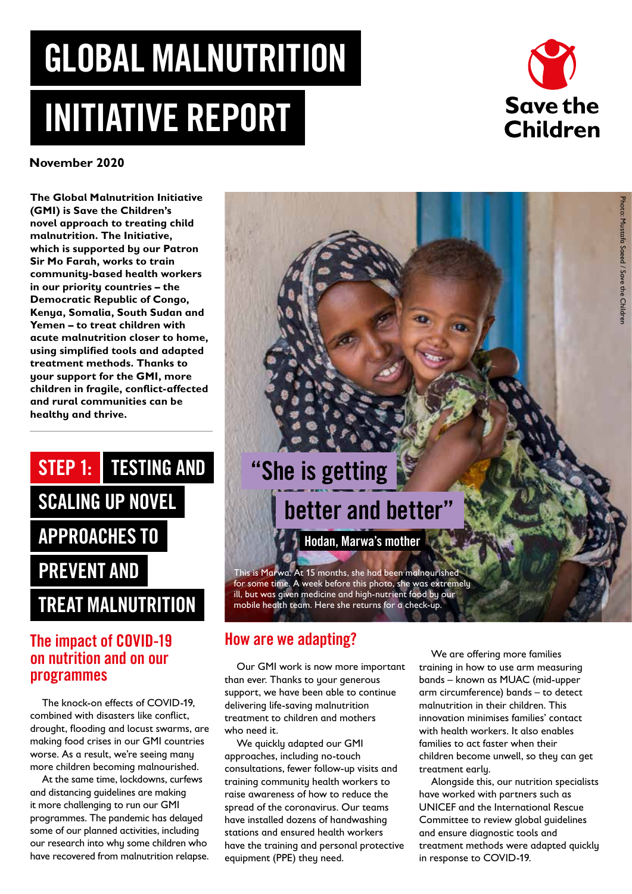# GLOBAL MALNUTRITION INITIATIVE REPORT



**November 2020**

**The Global Malnutrition Initiative (GMI) is Save the Children's novel approach to treating child malnutrition. The Initiative, which is supported by our Patron Sir Mo Farah, works to train community-based health workers in our priority countries – the Democratic Republic of Congo, Kenya, Somalia, South Sudan and Yemen – to treat children with acute malnutrition closer to home, using simplified tools and adapted treatment methods. Thanks to your support for the GMI, more children in fragile, conflict-affected and rural communities can be healthy and thrive.** 

# STEP 1: TESTING AND SCALING UP NOVEL APPROACHES TO PREVENT AND TREAT MALNUTRITION

#### The impact of COVID-19 on nutrition and on our programmes

The knock-on effects of COVID-19, combined with disasters like conflict, drought, flooding and locust swarms, are making food crises in our GMI countries worse. As a result, we're seeing many more children becoming malnourished.

At the same time, lockdowns, curfews and distancing guidelines are making it more challenging to run our GMI programmes. The pandemic has delayed some of our planned activities, including our research into why some children who have recovered from malnutrition relapse.

# "She is getting

### better and better"

Hodan, Marwa's mother

This is Marwa. At 15 months, she had been malnourished for some time. A week before this photo, she was extremely ill, but was given medicine and high-nutrient food by our mobile health team. Here she returns for a check-up.

#### How are we adapting?

Our GMI work is now more important than ever. Thanks to your generous support, we have been able to continue delivering life-saving malnutrition treatment to children and mothers who need it.

We quickly adapted our GMI approaches, including no-touch consultations, fewer follow-up visits and training community health workers to raise awareness of how to reduce the spread of the coronavirus. Our teams have installed dozens of handwashing stations and ensured health workers have the training and personal protective equipment (PPE) they need.

We are offering more families training in how to use arm measuring bands – known as MUAC (mid-upper arm circumference) bands – to detect malnutrition in their children. This innovation minimises families' contact with health workers. It also enables families to act faster when their children become unwell, so they can get treatment early.

Alongside this, our nutrition specialists have worked with partners such as UNICEF and the International Rescue Committee to review global guidelines and ensure diagnostic tools and treatment methods were adapted quickly in response to COVID-19.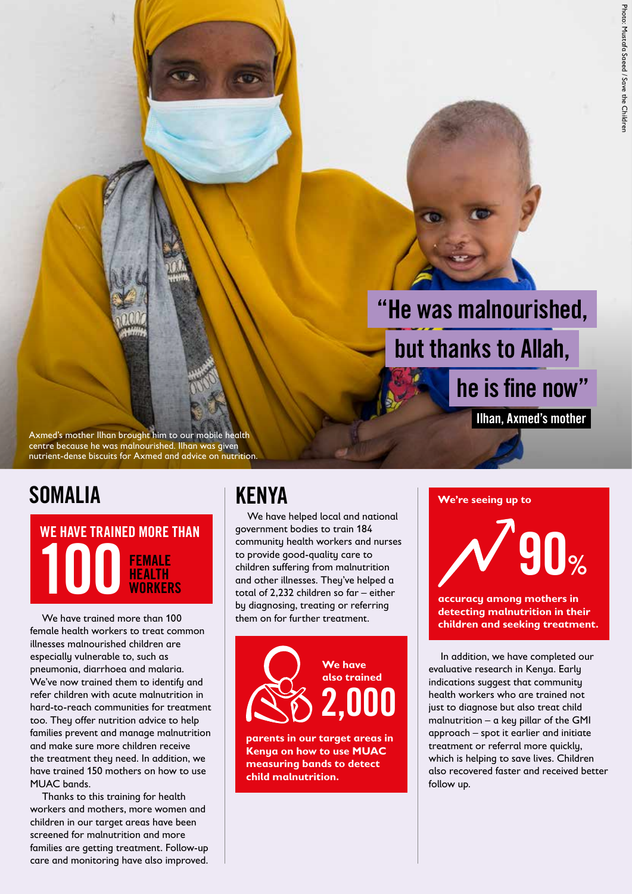# "He was malnourished, but thanks to Allah,

Axmed's mother Ilhan brought him to our mobile health centre because he was malnourished. Ilhan was given nutrient-dense biscuits for Axmed and advice on nutrition.

#### **SOMALIA**

WE HAVE TRAINED MORE THAN 100 FEMALE HEALTH **WORKERS** 

We have trained more than 100 female health workers to treat common illnesses malnourished children are especially vulnerable to, such as pneumonia, diarrhoea and malaria. We've now trained them to identify and refer children with acute malnutrition in hard-to-reach communities for treatment too. They offer nutrition advice to help families prevent and manage malnutrition and make sure more children receive the treatment they need. In addition, we have trained 150 mothers on how to use MUAC bands.

Thanks to this training for health workers and mothers, more women and children in our target areas have been screened for malnutrition and more families are getting treatment. Follow-up care and monitoring have also improved.

#### KENYA

We have helped local and national government bodies to train 184 community health workers and nurses to provide good-quality care to children suffering from malnutrition and other illnesses. They've helped a total of 2,232 children so far – either by diagnosing, treating or referring them on for further treatment.



**parents in our target areas in Kenya on how to use MUAC measuring bands to detect child malnutrition.**

#### **We're seeing up to**

90%

he is fine now"

Ilhan, Axmed's mother

**accuracy among mothers in detecting malnutrition in their children and seeking treatment.**

In addition, we have completed our evaluative research in Kenya. Early indications suggest that community health workers who are trained not just to diagnose but also treat child malnutrition – a key pillar of the GMI approach – spot it earlier and initiate treatment or referral more quickly, which is helping to save lives. Children also recovered faster and received better follow up.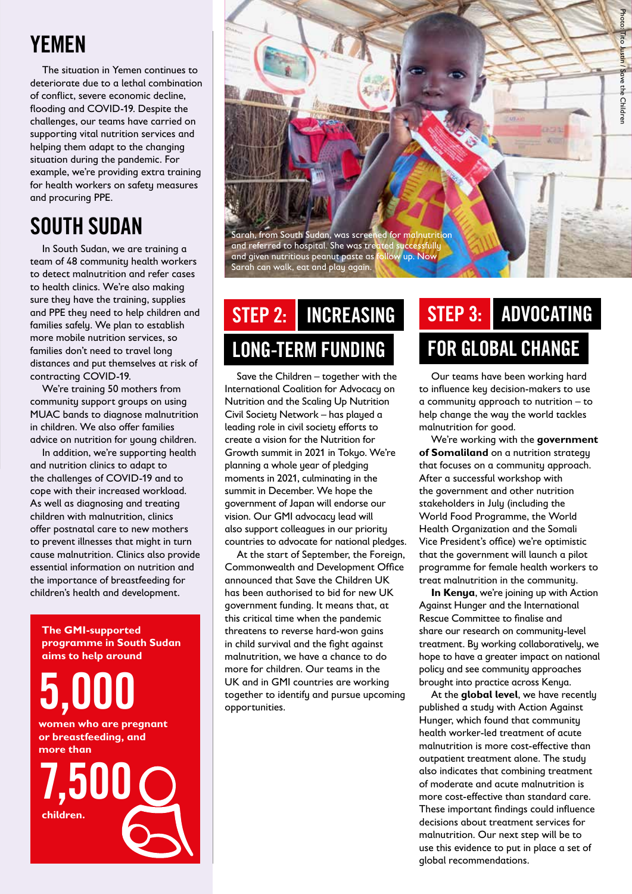### YEMEN

The situation in Yemen continues to deteriorate due to a lethal combination of conflict, severe economic decline, flooding and COVID-19. Despite the challenges, our teams have carried on supporting vital nutrition services and helping them adapt to the changing situation during the pandemic. For example, we're providing extra training for health workers on safety measures and procuring PPE.

### SOUTH SUDAN

In South Sudan, we are training a team of 48 community health workers to detect malnutrition and refer cases to health clinics. We're also making sure they have the training, supplies and PPE they need to help children and families safely. We plan to establish more mobile nutrition services, so families don't need to travel long distances and put themselves at risk of contracting COVID-19.

We're training 50 mothers from community support groups on using MUAC bands to diagnose malnutrition in children. We also offer families advice on nutrition for young children.

In addition, we're supporting health and nutrition clinics to adapt to the challenges of COVID-19 and to cope with their increased workload. As well as diagnosing and treating children with malnutrition, clinics offer postnatal care to new mothers to prevent illnesses that might in turn cause malnutrition. Clinics also provide essential information on nutrition and the importance of breastfeeding for children's health and development.

**The GMI-supported programme in South Sudan aims to help around**

5,000

**women who are pregnant or breastfeeding, and more than**





## INCREASING LONG-TERM FUNDING

Save the Children – together with the International Coalition for Advocacy on Nutrition and the Scaling Up Nutrition Civil Society Network – has played a leading role in civil society efforts to create a vision for the Nutrition for Growth summit in 2021 in Tokyo. We're planning a whole year of pledging moments in 2021, culminating in the summit in December. We hope the government of Japan will endorse our vision. Our GMI advocacy lead will also support colleagues in our priority countries to advocate for national pledges.

At the start of September, the Foreign, Commonwealth and Development Office announced that Save the Children UK has been authorised to bid for new UK government funding. It means that, at this critical time when the pandemic threatens to reverse hard-won gains in child survival and the fight against malnutrition, we have a chance to do more for children. Our teams in the UK and in GMI countries are working together to identify and pursue upcoming opportunities.

#### STEP 2: INCREASING STEP 3: ADVOCATING FOR GLOBAL CHANGE STEP 3:

Our teams have been working hard to influence key decision-makers to use a community approach to nutrition – to help change the way the world tackles malnutrition for good.

We're working with the **government of Somaliland** on a nutrition strategy that focuses on a community approach. After a successful workshop with the government and other nutrition stakeholders in July (including the World Food Programme, the World Health Organization and the Somali Vice President's office) we're optimistic that the government will launch a pilot programme for female health workers to treat malnutrition in the community.

**In Kenya**, we're joining up with Action Against Hunger and the International Rescue Committee to finalise and share our research on community-level treatment. By working collaboratively, we hope to have a greater impact on national policy and see community approaches brought into practice across Kenya.

At the **global level**, we have recently published a study with Action Against Hunger, which found that community health worker-led treatment of acute malnutrition is more cost-effective than outpatient treatment alone. The study also indicates that combining treatment of moderate and acute malnutrition is more cost-effective than standard care. These important findings could influence decisions about treatment services for malnutrition. Our next step will be to use this evidence to put in place a set of global recommendations.